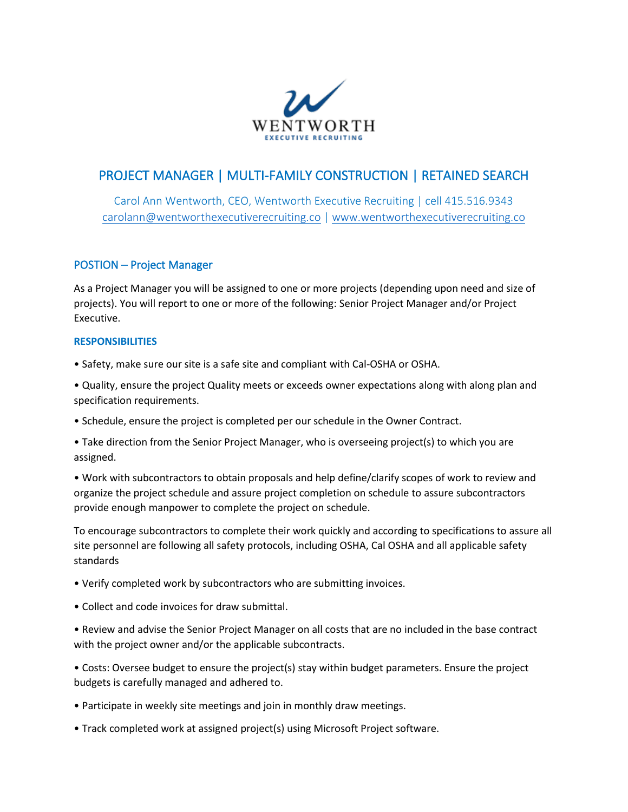

# PROJECT MANAGER | MULTI-FAMILY CONSTRUCTION | RETAINED SEARCH

Carol Ann Wentworth, CEO, Wentworth Executive Recruiting | cell 415.516.9343 [carolann@wentworthexecutiverecruiting.co](mailto:carolann@wentworthexecutiverecruiting.co) [| www.wentworthexecutiverecruiting.co](http://www.wentworthexecutiverecruiting.co/)

# POSTION – Project Manager

As a Project Manager you will be assigned to one or more projects (depending upon need and size of projects). You will report to one or more of the following: Senior Project Manager and/or Project Executive.

### **RESPONSIBILITIES**

- Safety, make sure our site is a safe site and compliant with Cal-OSHA or OSHA.
- Quality, ensure the project Quality meets or exceeds owner expectations along with along plan and specification requirements.
- Schedule, ensure the project is completed per our schedule in the Owner Contract.
- Take direction from the Senior Project Manager, who is overseeing project(s) to which you are assigned.

• Work with subcontractors to obtain proposals and help define/clarify scopes of work to review and organize the project schedule and assure project completion on schedule to assure subcontractors provide enough manpower to complete the project on schedule.

To encourage subcontractors to complete their work quickly and according to specifications to assure all site personnel are following all safety protocols, including OSHA, Cal OSHA and all applicable safety standards

- Verify completed work by subcontractors who are submitting invoices.
- Collect and code invoices for draw submittal.

• Review and advise the Senior Project Manager on all costs that are no included in the base contract with the project owner and/or the applicable subcontracts.

• Costs: Oversee budget to ensure the project(s) stay within budget parameters. Ensure the project budgets is carefully managed and adhered to.

- Participate in weekly site meetings and join in monthly draw meetings.
- Track completed work at assigned project(s) using Microsoft Project software.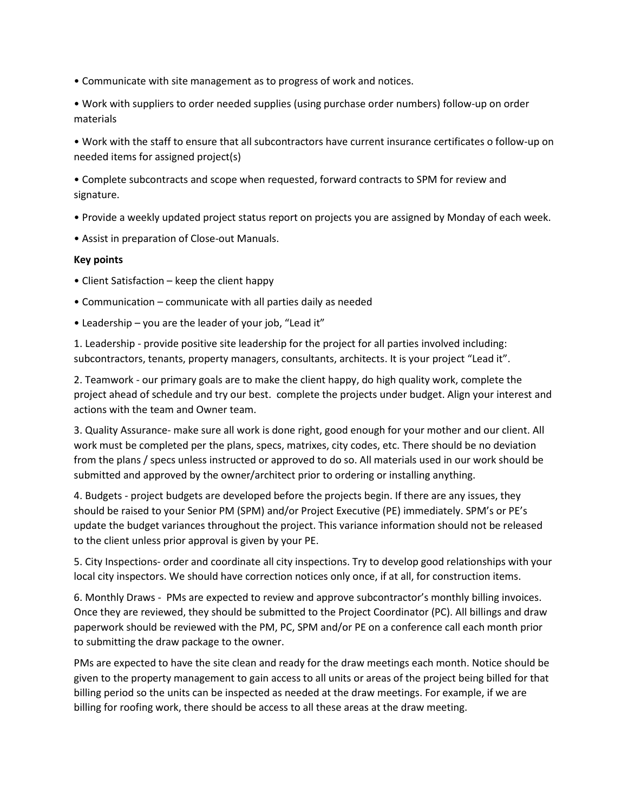- Communicate with site management as to progress of work and notices.
- Work with suppliers to order needed supplies (using purchase order numbers) follow-up on order materials

• Work with the staff to ensure that all subcontractors have current insurance certificates o follow-up on needed items for assigned project(s)

• Complete subcontracts and scope when requested, forward contracts to SPM for review and signature.

- Provide a weekly updated project status report on projects you are assigned by Monday of each week.
- Assist in preparation of Close-out Manuals.

## **Key points**

- Client Satisfaction keep the client happy
- Communication communicate with all parties daily as needed
- Leadership you are the leader of your job, "Lead it"

1. Leadership - provide positive site leadership for the project for all parties involved including: subcontractors, tenants, property managers, consultants, architects. It is your project "Lead it".

2. Teamwork - our primary goals are to make the client happy, do high quality work, complete the project ahead of schedule and try our best. complete the projects under budget. Align your interest and actions with the team and Owner team.

3. Quality Assurance- make sure all work is done right, good enough for your mother and our client. All work must be completed per the plans, specs, matrixes, city codes, etc. There should be no deviation from the plans / specs unless instructed or approved to do so. All materials used in our work should be submitted and approved by the owner/architect prior to ordering or installing anything.

4. Budgets - project budgets are developed before the projects begin. If there are any issues, they should be raised to your Senior PM (SPM) and/or Project Executive (PE) immediately. SPM's or PE's update the budget variances throughout the project. This variance information should not be released to the client unless prior approval is given by your PE.

5. City Inspections- order and coordinate all city inspections. Try to develop good relationships with your local city inspectors. We should have correction notices only once, if at all, for construction items.

6. Monthly Draws - PMs are expected to review and approve subcontractor's monthly billing invoices. Once they are reviewed, they should be submitted to the Project Coordinator (PC). All billings and draw paperwork should be reviewed with the PM, PC, SPM and/or PE on a conference call each month prior to submitting the draw package to the owner.

PMs are expected to have the site clean and ready for the draw meetings each month. Notice should be given to the property management to gain access to all units or areas of the project being billed for that billing period so the units can be inspected as needed at the draw meetings. For example, if we are billing for roofing work, there should be access to all these areas at the draw meeting.